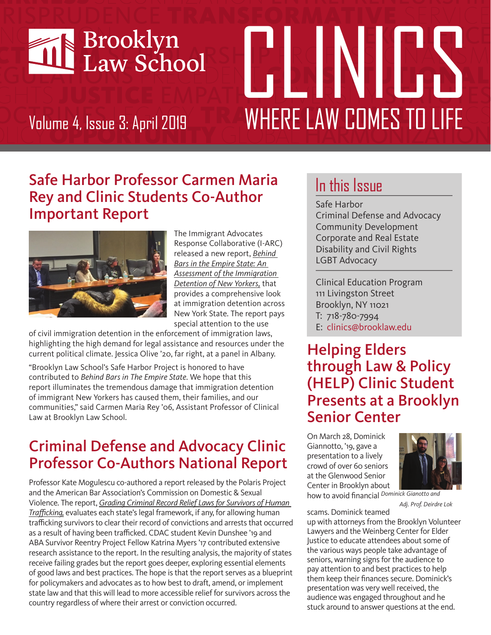

# PTRGENEEL Volume 4, Issue 3: April 2019 WHERE LAW COMES TO LIFE

#### Safe Harbor Professor Carmen Maria Rey and Clinic Students Co-Author Important Report



The Immigrant Advocates Response Collaborative (I-ARC) released a new report, *Behind Bars in the Empire State: An [Assessment of the Immigration](https://d1jiktx90t87hr.cloudfront.net/323/wp-content/uploads/sites/2/2019/03/State-of-Immigration-Detention-of-NYers-v5.pdf) Detention of New Yorkers,* that provides a comprehensive look at immigration detention across New York State. The report pays special attention to the use

of civil immigration detention in the enforcement of immigration laws, highlighting the high demand for legal assistance and resources under the current political climate. Jessica Olive '20, far right, at a panel in Albany.

"Brooklyn Law School's Safe Harbor Project is honored to have contributed to *Behind Bars in The Empire State*. We hope that this report illuminates the tremendous damage that immigration detention of immigrant New Yorkers has caused them, their families, and our communities," said Carmen Maria Rey '06, Assistant Professor of Clinical Law at Brooklyn Law School.

## Criminal Defense and Advocacy Clinic Professor Co-Authors National Report

Professor Kate Mogulescu co-authored a report released by the Polaris Project and the American Bar Association's Commission on Domestic & Sexual Violence. The report, *Grading Criminal Record Relief Laws for Survivors of Human Trafficking,* [evaluates each state's legal framework, if any, for allowing human](https://polarisproject.org/sites/default/files/Grading%20Criminal%20Record%20Relief%20Laws%20for%20Survivors%20of%20Human%20Trafficking.pdf)  trafficking survivors to clear their record of convictions and arrests that occurred as a result of having been trafficked. CDAC student Kevin Dunshee '19 and ABA Survivor Reentry Project Fellow Katrina Myers '17 contributed extensive research assistance to the report. In the resulting analysis, the majority of states receive failing grades but the report goes deeper, exploring essential elements of good laws and best practices. The hope is that the report serves as a blueprint for policymakers and advocates as to how best to draft, amend, or implement state law and that this will lead to more accessible relief for survivors across the country regardless of where their arrest or conviction occurred.

# In this Issue

Safe Harbor Criminal Defense and Advocacy Community Development Corporate and Real Estate Disability and Civil Rights LGBT Advocacy

Clinical Education Program 111 Livingston Street Brooklyn, NY 11021 T: 718-780-7994 E: clinics@brooklaw.edu

#### Helping Elders through Law & Policy (HELP) Clinic Student Presents at a Brooklyn Senior Center

On March 28, Dominick Giannotto, '19, gave a presentation to a lively crowd of over 60 seniors at the Glenwood Senior Center in Brooklyn about



how to avoid financial *Dominick Gianotto and Adj. Prof. Deirdre Lok*

scams. Dominick teamed

up with attorneys from the Brooklyn Volunteer Lawyers and the Weinberg Center for Elder Justice to educate attendees about some of the various ways people take advantage of seniors, warning signs for the audience to pay attention to and best practices to help them keep their finances secure. Dominick's presentation was very well received, the audience was engaged throughout and he stuck around to answer questions at the end.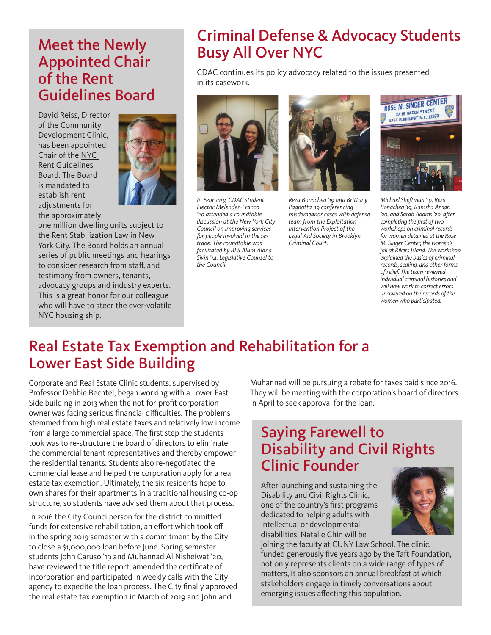#### Meet the Newly Appointed Chair of the Rent Guidelines Board

David Reiss, Director of the Community Development Clinic, has been appointed [Chair of the NYC](https://www1.nyc.gov/site/rentguidelinesboard/about/board-staff.page)  Rent Guidelines Board. The Board is mandated to establish rent adjustments for the approximately



one million dwelling units subject to the Rent Stabilization Law in New York City. The Board holds an annual series of public meetings and hearings to consider research from staff, and testimony from owners, tenants, advocacy groups and industry experts. This is a great honor for our colleague who will have to steer the ever-volatile NYC housing ship.

#### Criminal Defense & Advocacy Students Busy All Over NYC

CDAC continues its policy advocacy related to the issues presented in its casework.



*In February, CDAC student Hector Melendez-Franco '20 attended a roundtable discussion at the New York City Council on improving services for people involved in the sex trade. The roundtable was facilitated by BLS Alum Alana Sivin '14, Legislative Counsel to the Council.*



*Reza Bonachea '19 and Brittany Pagnotta '19 conferencing misdemeanor cases with defense team from the Exploitation Intervention Project of the Legal Aid Society in Brooklyn Criminal Court.*



*Michael Sheftman '19, Reza Bonachea '19, Ramsha Ansari '20, and Sarah Adams '20, after completing the first of two workshops on criminal records for women detained at the Rose M. Singer Center, the women's jail at Rikers Island. The workshop explained the basics of criminal records, sealing, and other forms of relief. The team reviewed individual criminal histories and will now work to correct errors uncovered on the records of the women who participated.*

#### Real Estate Tax Exemption and Rehabilitation for a Lower East Side Building

Corporate and Real Estate Clinic students, supervised by Professor Debbie Bechtel, began working with a Lower East Side building in 2013 when the not-for-profit corporation owner was facing serious financial difficulties. The problems stemmed from high real estate taxes and relatively low income from a large commercial space. The first step the students took was to re-structure the board of directors to eliminate the commercial tenant representatives and thereby empower the residential tenants. Students also re-negotiated the commercial lease and helped the corporation apply for a real estate tax exemption. Ultimately, the six residents hope to own shares for their apartments in a traditional housing co-op structure, so students have advised them about that process.

In 2016 the City Councilperson for the district committed funds for extensive rehabilitation, an effort which took off in the spring 2019 semester with a commitment by the City to close a \$1,000,000 loan before June. Spring semester students John Caruso '19 and Muhannad Al Nisheiwat '20, have reviewed the title report, amended the certificate of incorporation and participated in weekly calls with the City agency to expedite the loan process. The City finally approved the real estate tax exemption in March of 2019 and John and

Muhannad will be pursuing a rebate for taxes paid since 2016. They will be meeting with the corporation's board of directors in April to seek approval for the loan.

### Saying Farewell to Disability and Civil Rights Clinic Founder

After launching and sustaining the Disability and Civil Rights Clinic, one of the country's first programs dedicated to helping adults with intellectual or developmental disabilities, Natalie Chin will be

joining the faculty at CUNY Law School. The clinic, funded generously five years ago by the Taft Foundation, not only represents clients on a wide range of types of matters, it also sponsors an annual breakfast at which stakeholders engage in timely conversations about emerging issues affecting this population.